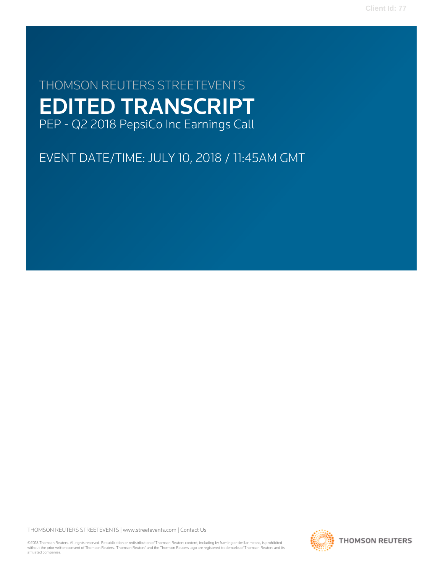**Client Id: 77**

# THOMSON REUTERS STREETEVENTS EDITED TRANSCRIPT PEP - Q2 2018 PepsiCo Inc Earnings Call

EVENT DATE/TIME: JULY 10, 2018 / 11:45AM GMT

THOMSON REUTERS STREETEVENTS | [www.streetevents.com](http://www.streetevents.com) | [Contact Us](http://www010.streetevents.com/contact.asp)

©2018 Thomson Reuters. All rights reserved. Republication or redistribution of Thomson Reuters content, including by framing or similar means, is prohibited without the prior written consent of Thomson Reuters. 'Thomson Reuters' and the Thomson Reuters logo are registered trademarks of Thomson Reuters and its affiliated companies.

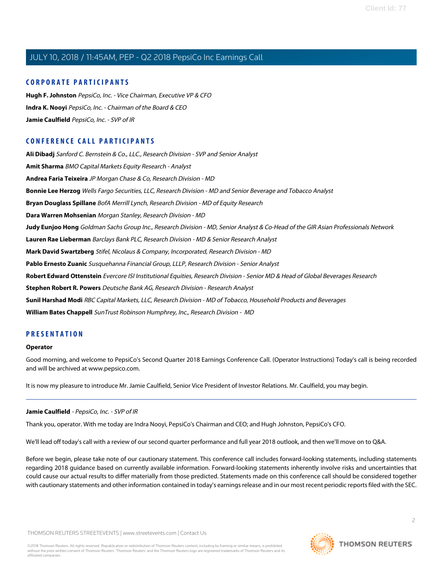### **CORPORATE PARTICIPANTS**

**[Hugh F. Johnston](#page-4-0)** PepsiCo, Inc. - Vice Chairman, Executive VP & CFO **[Indra K. Nooyi](#page-2-0)** PepsiCo, Inc. - Chairman of the Board & CEO **[Jamie Caulfield](#page-1-0)** PepsiCo, Inc. - SVP of IR

# **CONFERENCE CALL PARTICIPANTS**

**[Ali Dibadj](#page-8-0)** Sanford C. Bernstein & Co., LLC., Research Division - SVP and Senior Analyst **[Amit Sharma](#page-12-0)** BMO Capital Markets Equity Research - Analyst **[Andrea Faria Teixeira](#page-7-0)** JP Morgan Chase & Co, Research Division - MD **[Bonnie Lee Herzog](#page-11-0)** Wells Fargo Securities, LLC, Research Division - MD and Senior Beverage and Tobacco Analyst **[Bryan Douglass Spillane](#page-8-1)** BofA Merrill Lynch, Research Division - MD of Equity Research **[Dara Warren Mohsenian](#page-6-0)** Morgan Stanley, Research Division - MD **[Judy Eunjoo Hong](#page-9-0)** Goldman Sachs Group Inc., Research Division - MD, Senior Analyst & Co-Head of the GIR Asian Professionals Network **[Lauren Rae Lieberman](#page-10-0)** Barclays Bank PLC, Research Division - MD & Senior Research Analyst **[Mark David Swartzberg](#page-12-1)** Stifel, Nicolaus & Company, Incorporated, Research Division - MD **[Pablo Ernesto Zuanic](#page-7-1)** Susquehanna Financial Group, LLLP, Research Division - Senior Analyst **[Robert Edward Ottenstein](#page-13-0)** Evercore ISI Institutional Equities, Research Division - Senior MD & Head of Global Beverages Research **[Stephen Robert R. Powers](#page-10-1)** Deutsche Bank AG, Research Division - Research Analyst **[Sunil Harshad Modi](#page-13-1)** RBC Capital Markets, LLC, Research Division - MD of Tobacco, Household Products and Beverages **[William Bates Chappell](#page-14-0)** SunTrust Robinson Humphrey, Inc., Research Division - MD

## **PRESENTATION**

#### **Operator**

<span id="page-1-0"></span>Good morning, and welcome to PepsiCo's Second Quarter 2018 Earnings Conference Call. (Operator Instructions) Today's call is being recorded and will be archived at www.pepsico.com.

It is now my pleasure to introduce Mr. Jamie Caulfield, Senior Vice President of Investor Relations. Mr. Caulfield, you may begin.

### **Jamie Caulfield** - PepsiCo, Inc. - SVP of IR

Thank you, operator. With me today are Indra Nooyi, PepsiCo's Chairman and CEO; and Hugh Johnston, PepsiCo's CFO.

We'll lead off today's call with a review of our second quarter performance and full year 2018 outlook, and then we'll move on to Q&A.

Before we begin, please take note of our cautionary statement. This conference call includes forward-looking statements, including statements regarding 2018 guidance based on currently available information. Forward-looking statements inherently involve risks and uncertainties that could cause our actual results to differ materially from those predicted. Statements made on this conference call should be considered together with cautionary statements and other information contained in today's earnings release and in our most recent periodic reports filed with the SEC.

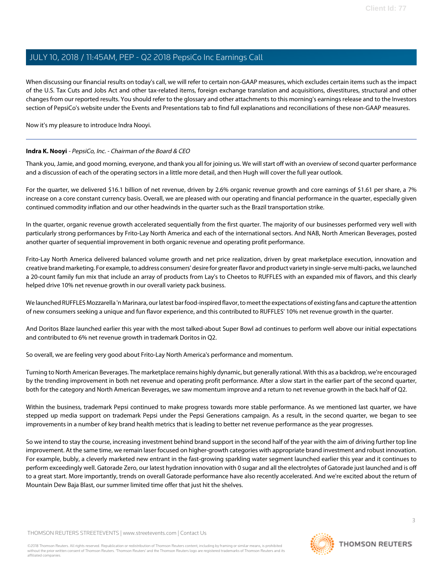When discussing our financial results on today's call, we will refer to certain non-GAAP measures, which excludes certain items such as the impact of the U.S. Tax Cuts and Jobs Act and other tax-related items, foreign exchange translation and acquisitions, divestitures, structural and other changes from our reported results. You should refer to the glossary and other attachments to this morning's earnings release and to the Investors section of PepsiCo's website under the Events and Presentations tab to find full explanations and reconciliations of these non-GAAP measures.

<span id="page-2-0"></span>Now it's my pleasure to introduce Indra Nooyi.

### **Indra K. Nooyi** - PepsiCo, Inc. - Chairman of the Board & CEO

Thank you, Jamie, and good morning, everyone, and thank you all for joining us. We will start off with an overview of second quarter performance and a discussion of each of the operating sectors in a little more detail, and then Hugh will cover the full year outlook.

For the quarter, we delivered \$16.1 billion of net revenue, driven by 2.6% organic revenue growth and core earnings of \$1.61 per share, a 7% increase on a core constant currency basis. Overall, we are pleased with our operating and financial performance in the quarter, especially given continued commodity inflation and our other headwinds in the quarter such as the Brazil transportation strike.

In the quarter, organic revenue growth accelerated sequentially from the first quarter. The majority of our businesses performed very well with particularly strong performances by Frito-Lay North America and each of the international sectors. And NAB, North American Beverages, posted another quarter of sequential improvement in both organic revenue and operating profit performance.

Frito-Lay North America delivered balanced volume growth and net price realization, driven by great marketplace execution, innovation and creative brand marketing. For example, to address consumers' desire for greater flavor and product variety in single-serve multi-packs, we launched a 20-count family fun mix that include an array of products from Lay's to Cheetos to RUFFLES with an expanded mix of flavors, and this clearly helped drive 10% net revenue growth in our overall variety pack business.

We launched RUFFLES Mozzarella 'n Marinara, our latest bar food-inspired flavor, to meet the expectations of existing fans and capture the attention of new consumers seeking a unique and fun flavor experience, and this contributed to RUFFLES' 10% net revenue growth in the quarter.

And Doritos Blaze launched earlier this year with the most talked-about Super Bowl ad continues to perform well above our initial expectations and contributed to 6% net revenue growth in trademark Doritos in Q2.

So overall, we are feeling very good about Frito-Lay North America's performance and momentum.

Turning to North American Beverages. The marketplace remains highly dynamic, but generally rational. With this as a backdrop, we're encouraged by the trending improvement in both net revenue and operating profit performance. After a slow start in the earlier part of the second quarter, both for the category and North American Beverages, we saw momentum improve and a return to net revenue growth in the back half of Q2.

Within the business, trademark Pepsi continued to make progress towards more stable performance. As we mentioned last quarter, we have stepped up media support on trademark Pepsi under the Pepsi Generations campaign. As a result, in the second quarter, we began to see improvements in a number of key brand health metrics that is leading to better net revenue performance as the year progresses.

So we intend to stay the course, increasing investment behind brand support in the second half of the year with the aim of driving further top line improvement. At the same time, we remain laser focused on higher-growth categories with appropriate brand investment and robust innovation. For example, bubly, a cleverly marketed new entrant in the fast-growing sparkling water segment launched earlier this year and it continues to perform exceedingly well. Gatorade Zero, our latest hydration innovation with 0 sugar and all the electrolytes of Gatorade just launched and is off to a great start. More importantly, trends on overall Gatorade performance have also recently accelerated. And we're excited about the return of Mountain Dew Baja Blast, our summer limited time offer that just hit the shelves.

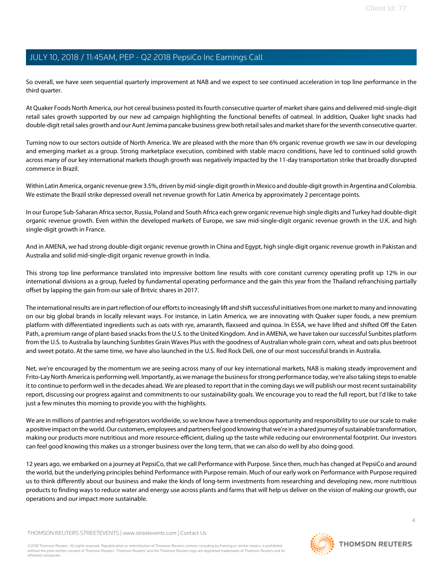So overall, we have seen sequential quarterly improvement at NAB and we expect to see continued acceleration in top line performance in the third quarter.

At Quaker Foods North America, our hot cereal business posted its fourth consecutive quarter of market share gains and delivered mid-single-digit retail sales growth supported by our new ad campaign highlighting the functional benefits of oatmeal. In addition, Quaker light snacks had double-digit retail sales growth and our Aunt Jemima pancake business grew both retail sales and market share for the seventh consecutive quarter.

Turning now to our sectors outside of North America. We are pleased with the more than 6% organic revenue growth we saw in our developing and emerging market as a group. Strong marketplace execution, combined with stable macro conditions, have led to continued solid growth across many of our key international markets though growth was negatively impacted by the 11-day transportation strike that broadly disrupted commerce in Brazil.

Within Latin America, organic revenue grew 3.5%, driven by mid-single-digit growth in Mexico and double-digit growth in Argentina and Colombia. We estimate the Brazil strike depressed overall net revenue growth for Latin America by approximately 2 percentage points.

In our Europe Sub-Saharan Africa sector, Russia, Poland and South Africa each grew organic revenue high single digits and Turkey had double-digit organic revenue growth. Even within the developed markets of Europe, we saw mid-single-digit organic revenue growth in the U.K. and high single-digit growth in France.

And in AMENA, we had strong double-digit organic revenue growth in China and Egypt, high single-digit organic revenue growth in Pakistan and Australia and solid mid-single-digit organic revenue growth in India.

This strong top line performance translated into impressive bottom line results with core constant currency operating profit up 12% in our international divisions as a group, fueled by fundamental operating performance and the gain this year from the Thailand refranchising partially offset by lapping the gain from our sale of Britvic shares in 2017.

The international results are in part reflection of our efforts to increasingly lift and shift successful initiatives from one market to many and innovating on our big global brands in locally relevant ways. For instance, in Latin America, we are innovating with Quaker super foods, a new premium platform with differentiated ingredients such as oats with rye, amaranth, flaxseed and quinoa. In ESSA, we have lifted and shifted Off the Eaten Path, a premium range of plant-based snacks from the U.S. to the United Kingdom. And in AMENA, we have taken our successful Sunbites platform from the U.S. to Australia by launching Sunbites Grain Waves Plus with the goodness of Australian whole grain corn, wheat and oats plus beetroot and sweet potato. At the same time, we have also launched in the U.S. Red Rock Deli, one of our most successful brands in Australia.

Net, we're encouraged by the momentum we are seeing across many of our key international markets, NAB is making steady improvement and Frito-Lay North America is performing well. Importantly, as we manage the business for strong performance today, we're also taking steps to enable it to continue to perform well in the decades ahead. We are pleased to report that in the coming days we will publish our most recent sustainability report, discussing our progress against and commitments to our sustainability goals. We encourage you to read the full report, but I'd like to take just a few minutes this morning to provide you with the highlights.

We are in millions of pantries and refrigerators worldwide, so we know have a tremendous opportunity and responsibility to use our scale to make a positive impact on the world. Our customers, employees and partners feel good knowing that we're in a shared journey of sustainable transformation, making our products more nutritious and more resource-efficient, dialing up the taste while reducing our environmental footprint. Our investors can feel good knowing this makes us a stronger business over the long term, that we can also do well by also doing good.

12 years ago, we embarked on a journey at PepsiCo, that we call Performance with Purpose. Since then, much has changed at PepsiCo and around the world, but the underlying principles behind Performance with Purpose remain. Much of our early work on Performance with Purpose required us to think differently about our business and make the kinds of long-term investments from researching and developing new, more nutritious products to finding ways to reduce water and energy use across plants and farms that will help us deliver on the vision of making our growth, our operations and our impact more sustainable.

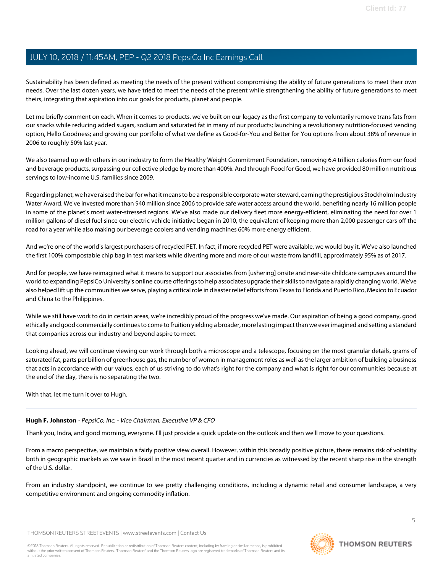Sustainability has been defined as meeting the needs of the present without compromising the ability of future generations to meet their own needs. Over the last dozen years, we have tried to meet the needs of the present while strengthening the ability of future generations to meet theirs, integrating that aspiration into our goals for products, planet and people.

Let me briefly comment on each. When it comes to products, we've built on our legacy as the first company to voluntarily remove trans fats from our snacks while reducing added sugars, sodium and saturated fat in many of our products; launching a revolutionary nutrition-focused vending option, Hello Goodness; and growing our portfolio of what we define as Good-for-You and Better for You options from about 38% of revenue in 2006 to roughly 50% last year.

We also teamed up with others in our industry to form the Healthy Weight Commitment Foundation, removing 6.4 trillion calories from our food and beverage products, surpassing our collective pledge by more than 400%. And through Food for Good, we have provided 80 million nutritious servings to low-income U.S. families since 2009.

Regarding planet, we have raised the bar for what it means to be a responsible corporate water steward, earning the prestigious Stockholm Industry Water Award. We've invested more than \$40 million since 2006 to provide safe water access around the world, benefiting nearly 16 million people in some of the planet's most water-stressed regions. We've also made our delivery fleet more energy-efficient, eliminating the need for over 1 million gallons of diesel fuel since our electric vehicle initiative began in 2010, the equivalent of keeping more than 2,000 passenger cars off the road for a year while also making our beverage coolers and vending machines 60% more energy efficient.

And we're one of the world's largest purchasers of recycled PET. In fact, if more recycled PET were available, we would buy it. We've also launched the first 100% compostable chip bag in test markets while diverting more and more of our waste from landfill, approximately 95% as of 2017.

And for people, we have reimagined what it means to support our associates from [ushering] onsite and near-site childcare campuses around the world to expanding PepsiCo University's online course offerings to help associates upgrade their skills to navigate a rapidly changing world. We've also helped lift up the communities we serve, playing a critical role in disaster relief efforts from Texas to Florida and Puerto Rico, Mexico to Ecuador and China to the Philippines.

While we still have work to do in certain areas, we're incredibly proud of the progress we've made. Our aspiration of being a good company, good ethically and good commercially continues to come to fruition yielding a broader, more lasting impact than we ever imagined and setting a standard that companies across our industry and beyond aspire to meet.

Looking ahead, we will continue viewing our work through both a microscope and a telescope, focusing on the most granular details, grams of saturated fat, parts per billion of greenhouse gas, the number of women in management roles as well as the larger ambition of building a business that acts in accordance with our values, each of us striving to do what's right for the company and what is right for our communities because at the end of the day, there is no separating the two.

<span id="page-4-0"></span>With that, let me turn it over to Hugh.

### **Hugh F. Johnston** - PepsiCo, Inc. - Vice Chairman, Executive VP & CFO

Thank you, Indra, and good morning, everyone. I'll just provide a quick update on the outlook and then we'll move to your questions.

From a macro perspective, we maintain a fairly positive view overall. However, within this broadly positive picture, there remains risk of volatility both in geographic markets as we saw in Brazil in the most recent quarter and in currencies as witnessed by the recent sharp rise in the strength of the U.S. dollar.

From an industry standpoint, we continue to see pretty challenging conditions, including a dynamic retail and consumer landscape, a very competitive environment and ongoing commodity inflation.

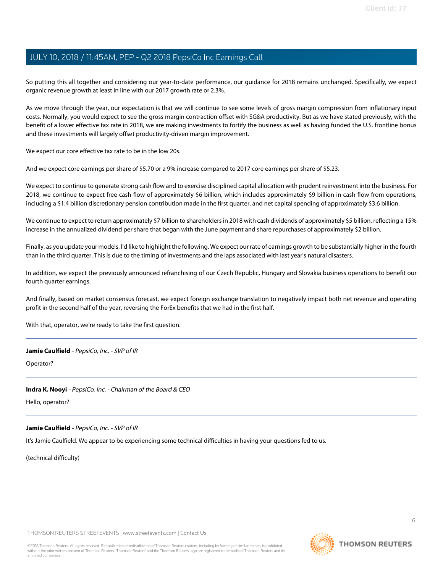So putting this all together and considering our year-to-date performance, our guidance for 2018 remains unchanged. Specifically, we expect organic revenue growth at least in line with our 2017 growth rate or 2.3%.

As we move through the year, our expectation is that we will continue to see some levels of gross margin compression from inflationary input costs. Normally, you would expect to see the gross margin contraction offset with SG&A productivity. But as we have stated previously, with the benefit of a lower effective tax rate in 2018, we are making investments to fortify the business as well as having funded the U.S. frontline bonus and these investments will largely offset productivity-driven margin improvement.

We expect our core effective tax rate to be in the low 20s.

And we expect core earnings per share of \$5.70 or a 9% increase compared to 2017 core earnings per share of \$5.23.

We expect to continue to generate strong cash flow and to exercise disciplined capital allocation with prudent reinvestment into the business. For 2018, we continue to expect free cash flow of approximately \$6 billion, which includes approximately \$9 billion in cash flow from operations, including a \$1.4 billion discretionary pension contribution made in the first quarter, and net capital spending of approximately \$3.6 billion.

We continue to expect to return approximately \$7 billion to shareholders in 2018 with cash dividends of approximately \$5 billion, reflecting a 15% increase in the annualized dividend per share that began with the June payment and share repurchases of approximately \$2 billion.

Finally, as you update your models, I'd like to highlight the following. We expect our rate of earnings growth to be substantially higher in the fourth than in the third quarter. This is due to the timing of investments and the laps associated with last year's natural disasters.

In addition, we expect the previously announced refranchising of our Czech Republic, Hungary and Slovakia business operations to benefit our fourth quarter earnings.

And finally, based on market consensus forecast, we expect foreign exchange translation to negatively impact both net revenue and operating profit in the second half of the year, reversing the ForEx benefits that we had in the first half.

With that, operator, we're ready to take the first question.

#### **Jamie Caulfield** - PepsiCo, Inc. - SVP of IR

Operator?

#### **Indra K. Nooyi** - PepsiCo, Inc. - Chairman of the Board & CEO

Hello, operator?

#### **Jamie Caulfield** - PepsiCo, Inc. - SVP of IR

It's Jamie Caulfield. We appear to be experiencing some technical difficulties in having your questions fed to us.

(technical difficulty)

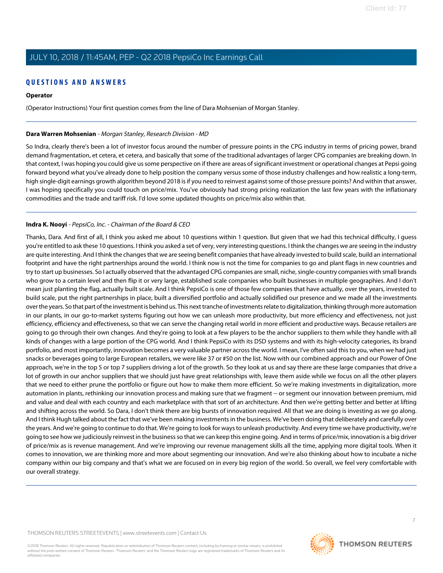# **QUESTIONS AND ANSWERS**

# **Operator**

(Operator Instructions) Your first question comes from the line of Dara Mohsenian of Morgan Stanley.

# <span id="page-6-0"></span>**Dara Warren Mohsenian** - Morgan Stanley, Research Division - MD

So Indra, clearly there's been a lot of investor focus around the number of pressure points in the CPG industry in terms of pricing power, brand demand fragmentation, et cetera, et cetera, and basically that some of the traditional advantages of larger CPG companies are breaking down. In that context, I was hoping you could give us some perspective on if there are areas of significant investment or operational changes at Pepsi going forward beyond what you've already done to help position the company versus some of those industry challenges and how realistic a long-term, high single-digit earnings growth algorithm beyond 2018 is if you need to reinvest against some of those pressure points? And within that answer, I was hoping specifically you could touch on price/mix. You've obviously had strong pricing realization the last few years with the inflationary commodities and the trade and tariff risk. I'd love some updated thoughts on price/mix also within that.

# **Indra K. Nooyi** - PepsiCo, Inc. - Chairman of the Board & CEO

Thanks, Dara. And first of all, I think you asked me about 10 questions within 1 question. But given that we had this technical difficulty, I guess you're entitled to ask these 10 questions. I think you asked a set of very, very interesting questions. I think the changes we are seeing in the industry are quite interesting. And I think the changes that we are seeing benefit companies that have already invested to build scale, build an international footprint and have the right partnerships around the world. I think now is not the time for companies to go and plant flags in new countries and try to start up businesses. So I actually observed that the advantaged CPG companies are small, niche, single-country companies with small brands who grow to a certain level and then flip it or very large, established scale companies who built businesses in multiple geographies. And I don't mean just planting the flag, actually built scale. And I think PepsiCo is one of those few companies that have actually, over the years, invested to build scale, put the right partnerships in place, built a diversified portfolio and actually solidified our presence and we made all the investments over the years. So that part of the investment is behind us. This next tranche of investments relate to digitalization, thinking through more automation in our plants, in our go-to-market systems figuring out how we can unleash more productivity, but more efficiency and effectiveness, not just efficiency, efficiency and effectiveness, so that we can serve the changing retail world in more efficient and productive ways. Because retailers are going to go through their own changes. And they're going to look at a few players to be the anchor suppliers to them while they handle with all kinds of changes with a large portion of the CPG world. And I think PepsiCo with its DSD systems and with its high-velocity categories, its brand portfolio, and most importantly, innovation becomes a very valuable partner across the world. I mean, I've often said this to you, when we had just snacks or beverages going to large European retailers, we were like 37 or #50 on the list. Now with our combined approach and our Power of One approach, we're in the top 5 or top 7 suppliers driving a lot of the growth. So they look at us and say there are these large companies that drive a lot of growth in our anchor suppliers that we should just have great relationships with, leave them aside while we focus on all the other players that we need to either prune the portfolio or figure out how to make them more efficient. So we're making investments in digitalization, more automation in plants, rethinking our innovation process and making sure that we fragment -- or segment our innovation between premium, mid and value and deal with each country and each marketplace with that sort of an architecture. And then we're getting better and better at lifting and shifting across the world. So Dara, I don't think there are big bursts of innovation required. All that we are doing is investing as we go along. And I think Hugh talked about the fact that we've been making investments in the business. We've been doing that deliberately and carefully over the years. And we're going to continue to do that. We're going to look for ways to unleash productivity. And every time we have productivity, we're going to see how we judiciously reinvest in the business so that we can keep this engine going. And in terms of price/mix, innovation is a big driver of price/mix as is revenue management. And we're improving our revenue management skills all the time, applying more digital tools. When it comes to innovation, we are thinking more and more about segmenting our innovation. And we're also thinking about how to incubate a niche company within our big company and that's what we are focused on in every big region of the world. So overall, we feel very comfortable with our overall strategy.

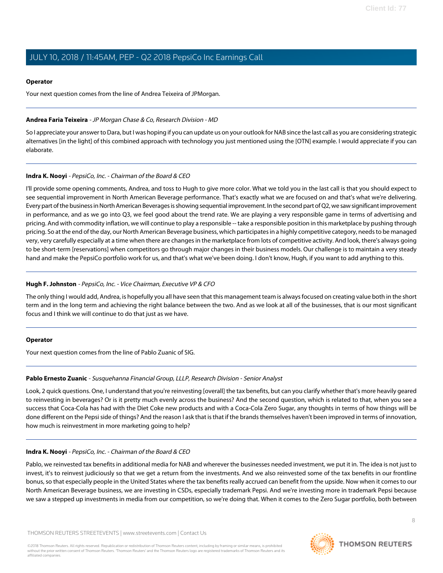### **Operator**

Your next question comes from the line of Andrea Teixeira of JPMorgan.

### <span id="page-7-0"></span>**Andrea Faria Teixeira** - JP Morgan Chase & Co, Research Division - MD

So I appreciate your answer to Dara, but I was hoping if you can update us on your outlook for NAB since the last call as you are considering strategic alternatives [in the light] of this combined approach with technology you just mentioned using the [OTN] example. I would appreciate if you can elaborate.

### **Indra K. Nooyi** - PepsiCo, Inc. - Chairman of the Board & CEO

I'll provide some opening comments, Andrea, and toss to Hugh to give more color. What we told you in the last call is that you should expect to see sequential improvement in North American Beverage performance. That's exactly what we are focused on and that's what we're delivering. Every part of the business in North American Beverages is showing sequential improvement. In the second part of Q2, we saw significant improvement in performance, and as we go into Q3, we feel good about the trend rate. We are playing a very responsible game in terms of advertising and pricing. And with commodity inflation, we will continue to play a responsible -- take a responsible position in this marketplace by pushing through pricing. So at the end of the day, our North American Beverage business, which participates in a highly competitive category, needs to be managed very, very carefully especially at a time when there are changes in the marketplace from lots of competitive activity. And look, there's always going to be short-term [reservations] when competitors go through major changes in their business models. Our challenge is to maintain a very steady hand and make the PepsiCo portfolio work for us, and that's what we've been doing. I don't know, Hugh, if you want to add anything to this.

### **Hugh F. Johnston** - PepsiCo, Inc. - Vice Chairman, Executive VP & CFO

The only thing I would add, Andrea, is hopefully you all have seen that this management team is always focused on creating value both in the short term and in the long term and achieving the right balance between the two. And as we look at all of the businesses, that is our most significant focus and I think we will continue to do that just as we have.

#### <span id="page-7-1"></span>**Operator**

Your next question comes from the line of Pablo Zuanic of SIG.

### **Pablo Ernesto Zuanic** - Susquehanna Financial Group, LLLP, Research Division - Senior Analyst

Look, 2 quick questions. One, I understand that you're reinvesting [overall] the tax benefits, but can you clarify whether that's more heavily geared to reinvesting in beverages? Or is it pretty much evenly across the business? And the second question, which is related to that, when you see a success that Coca-Cola has had with the Diet Coke new products and with a Coca-Cola Zero Sugar, any thoughts in terms of how things will be done different on the Pepsi side of things? And the reason I ask that is that if the brands themselves haven't been improved in terms of innovation, how much is reinvestment in more marketing going to help?

### **Indra K. Nooyi** - PepsiCo, Inc. - Chairman of the Board & CEO

Pablo, we reinvested tax benefits in additional media for NAB and wherever the businesses needed investment, we put it in. The idea is not just to invest, it's to reinvest judiciously so that we get a return from the investments. And we also reinvested some of the tax benefits in our frontline bonus, so that especially people in the United States where the tax benefits really accrued can benefit from the upside. Now when it comes to our North American Beverage business, we are investing in CSDs, especially trademark Pepsi. And we're investing more in trademark Pepsi because we saw a stepped up investments in media from our competition, so we're doing that. When it comes to the Zero Sugar portfolio, both between

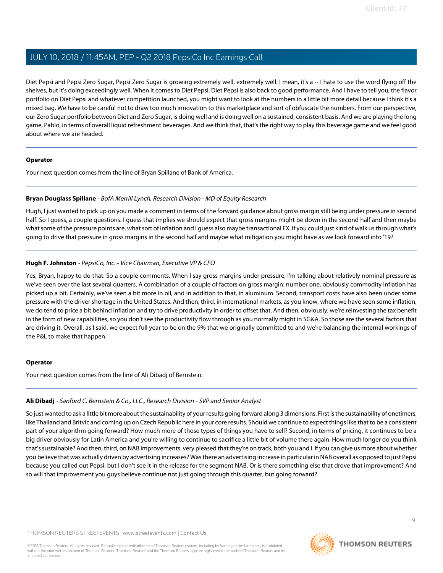Diet Pepsi and Pepsi Zero Sugar, Pepsi Zero Sugar is growing extremely well, extremely well. I mean, it's a -- I hate to use the word flying off the shelves, but it's doing exceedingly well. When it comes to Diet Pepsi, Diet Pepsi is also back to good performance. And I have to tell you, the flavor portfolio on Diet Pepsi and whatever competition launched, you might want to look at the numbers in a little bit more detail because I think it's a mixed bag. We have to be careful not to draw too much innovation to this marketplace and sort of obfuscate the numbers. From our perspective, our Zero Sugar portfolio between Diet and Zero Sugar, is doing well and is doing well on a sustained, consistent basis. And we are playing the long game, Pablo, in terms of overall liquid refreshment beverages. And we think that, that's the right way to play this beverage game and we feel good about where we are headed.

#### **Operator**

<span id="page-8-1"></span>Your next question comes from the line of Bryan Spillane of Bank of America.

### **Bryan Douglass Spillane** - BofA Merrill Lynch, Research Division - MD of Equity Research

Hugh, I just wanted to pick up on you made a comment in terms of the forward guidance about gross margin still being under pressure in second half. So I guess, a couple questions. I guess that implies we should expect that gross margins might be down in the second half and then maybe what some of the pressure points are, what sort of inflation and I guess also maybe transactional FX. If you could just kind of walk us through what's going to drive that pressure in gross margins in the second half and maybe what mitigation you might have as we look forward into '19?

### **Hugh F. Johnston** - PepsiCo, Inc. - Vice Chairman, Executive VP & CFO

Yes, Bryan, happy to do that. So a couple comments. When I say gross margins under pressure, I'm talking about relatively nominal pressure as we've seen over the last several quarters. A combination of a couple of factors on gross margin: number one, obviously commodity inflation has picked up a bit. Certainly, we've seen a bit more in oil, and in addition to that, in aluminum. Second, transport costs have also been under some pressure with the driver shortage in the United States. And then, third, in international markets, as you know, where we have seen some inflation, we do tend to price a bit behind inflation and try to drive productivity in order to offset that. And then, obviously, we're reinvesting the tax benefit in the form of new capabilities, so you don't see the productivity flow through as you normally might in SG&A. So those are the several factors that are driving it. Overall, as I said, we expect full year to be on the 9% that we originally committed to and we're balancing the internal workings of the P&L to make that happen.

### <span id="page-8-0"></span>**Operator**

Your next question comes from the line of Ali Dibadj of Bernstein.

### **Ali Dibadj** - Sanford C. Bernstein & Co., LLC., Research Division - SVP and Senior Analyst

So just wanted to ask a little bit more about the sustainability of your results going forward along 3 dimensions. First is the sustainability of onetimers, like Thailand and Britvic and coming up on Czech Republic here in your core results. Should we continue to expect things like that to be a consistent part of your algorithm going forward? How much more of those types of things you have to sell? Second, in terms of pricing, it continues to be a big driver obviously for Latin America and you're willing to continue to sacrifice a little bit of volume there again. How much longer do you think that's sustainable? And then, third, on NAB improvements, very pleased that they're on track, both you and I. If you can give us more about whether you believe that was actually driven by advertising increases? Was there an advertising increase in particular in NAB overall as opposed to just Pepsi because you called out Pepsi, but I don't see it in the release for the segment NAB. Or is there something else that drove that improvement? And so will that improvement you guys believe continue not just going through this quarter, but going forward?

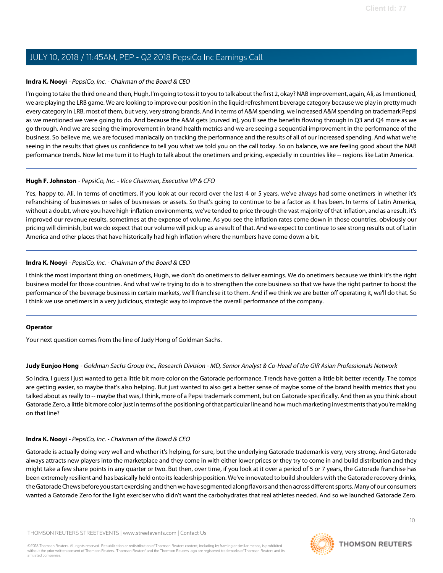### **Indra K. Nooyi** - PepsiCo, Inc. - Chairman of the Board & CEO

I'm going to take the third one and then, Hugh, I'm going to toss it to you to talk about the first 2, okay? NAB improvement, again, Ali, as I mentioned, we are playing the LRB game. We are looking to improve our position in the liquid refreshment beverage category because we play in pretty much every category in LRB, most of them, but very, very strong brands. And in terms of A&M spending, we increased A&M spending on trademark Pepsi as we mentioned we were going to do. And because the A&M gets [curved in], you'll see the benefits flowing through in Q3 and Q4 more as we go through. And we are seeing the improvement in brand health metrics and we are seeing a sequential improvement in the performance of the business. So believe me, we are focused maniacally on tracking the performance and the results of all of our increased spending. And what we're seeing in the results that gives us confidence to tell you what we told you on the call today. So on balance, we are feeling good about the NAB performance trends. Now let me turn it to Hugh to talk about the onetimers and pricing, especially in countries like -- regions like Latin America.

### **Hugh F. Johnston** - PepsiCo, Inc. - Vice Chairman, Executive VP & CFO

Yes, happy to, Ali. In terms of onetimers, if you look at our record over the last 4 or 5 years, we've always had some onetimers in whether it's refranchising of businesses or sales of businesses or assets. So that's going to continue to be a factor as it has been. In terms of Latin America, without a doubt, where you have high-inflation environments, we've tended to price through the vast majority of that inflation, and as a result, it's improved our revenue results, sometimes at the expense of volume. As you see the inflation rates come down in those countries, obviously our pricing will diminish, but we do expect that our volume will pick up as a result of that. And we expect to continue to see strong results out of Latin America and other places that have historically had high inflation where the numbers have come down a bit.

### **Indra K. Nooyi** - PepsiCo, Inc. - Chairman of the Board & CEO

I think the most important thing on onetimers, Hugh, we don't do onetimers to deliver earnings. We do onetimers because we think it's the right business model for those countries. And what we're trying to do is to strengthen the core business so that we have the right partner to boost the performance of the beverage business in certain markets, we'll franchise it to them. And if we think we are better off operating it, we'll do that. So I think we use onetimers in a very judicious, strategic way to improve the overall performance of the company.

#### <span id="page-9-0"></span>**Operator**

Your next question comes from the line of Judy Hong of Goldman Sachs.

### **Judy Eunjoo Hong** - Goldman Sachs Group Inc., Research Division - MD, Senior Analyst & Co-Head of the GIR Asian Professionals Network

So Indra, I guess I just wanted to get a little bit more color on the Gatorade performance. Trends have gotten a little bit better recently. The comps are getting easier, so maybe that's also helping. But just wanted to also get a better sense of maybe some of the brand health metrics that you talked about as really to -- maybe that was, I think, more of a Pepsi trademark comment, but on Gatorade specifically. And then as you think about Gatorade Zero, a little bit more color just in terms of the positioning of that particular line and how much marketing investments that you're making on that line?

#### **Indra K. Nooyi** - PepsiCo, Inc. - Chairman of the Board & CEO

Gatorade is actually doing very well and whether it's helping, for sure, but the underlying Gatorade trademark is very, very strong. And Gatorade always attracts new players into the marketplace and they come in with either lower prices or they try to come in and build distribution and they might take a few share points in any quarter or two. But then, over time, if you look at it over a period of 5 or 7 years, the Gatorade franchise has been extremely resilient and has basically held onto its leadership position. We've innovated to build shoulders with the Gatorade recovery drinks, the Gatorade Chews before you start exercising and then we have segmented along flavors and then across different sports. Many of our consumers wanted a Gatorade Zero for the light exerciser who didn't want the carbohydrates that real athletes needed. And so we launched Gatorade Zero.

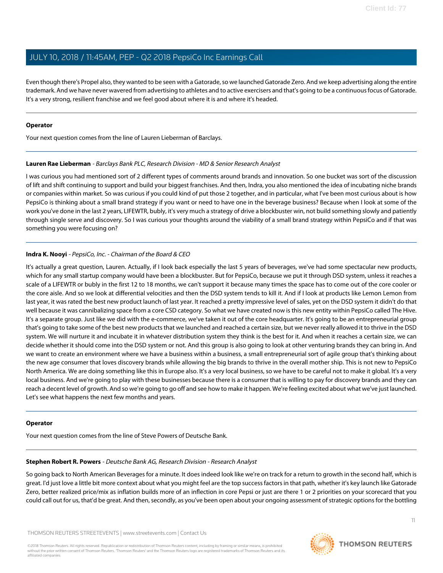Even though there's Propel also, they wanted to be seen with a Gatorade, so we launched Gatorade Zero. And we keep advertising along the entire trademark. And we have never wavered from advertising to athletes and to active exercisers and that's going to be a continuous focus of Gatorade. It's a very strong, resilient franchise and we feel good about where it is and where it's headed.

#### **Operator**

<span id="page-10-0"></span>Your next question comes from the line of Lauren Lieberman of Barclays.

### **Lauren Rae Lieberman** - Barclays Bank PLC, Research Division - MD & Senior Research Analyst

I was curious you had mentioned sort of 2 different types of comments around brands and innovation. So one bucket was sort of the discussion of lift and shift continuing to support and build your biggest franchises. And then, Indra, you also mentioned the idea of incubating niche brands or companies within market. So was curious if you could kind of put those 2 together, and in particular, what I've been most curious about is how PepsiCo is thinking about a small brand strategy if you want or need to have one in the beverage business? Because when I look at some of the work you've done in the last 2 years, LIFEWTR, bubly, it's very much a strategy of drive a blockbuster win, not build something slowly and patiently through single serve and discovery. So I was curious your thoughts around the viability of a small brand strategy within PepsiCo and if that was something you were focusing on?

### **Indra K. Nooyi** - PepsiCo, Inc. - Chairman of the Board & CEO

It's actually a great question, Lauren. Actually, if I look back especially the last 5 years of beverages, we've had some spectacular new products, which for any small startup company would have been a blockbuster. But for PepsiCo, because we put it through DSD system, unless it reaches a scale of a LIFEWTR or bubly in the first 12 to 18 months, we can't support it because many times the space has to come out of the core cooler or the core aisle. And so we look at differential velocities and then the DSD system tends to kill it. And if I look at products like Lemon Lemon from last year, it was rated the best new product launch of last year. It reached a pretty impressive level of sales, yet on the DSD system it didn't do that well because it was cannibalizing space from a core CSD category. So what we have created now is this new entity within PepsiCo called The Hive. It's a separate group. Just like we did with the e-commerce, we've taken it out of the core headquarter. It's going to be an entrepreneurial group that's going to take some of the best new products that we launched and reached a certain size, but we never really allowed it to thrive in the DSD system. We will nurture it and incubate it in whatever distribution system they think is the best for it. And when it reaches a certain size, we can decide whether it should come into the DSD system or not. And this group is also going to look at other venturing brands they can bring in. And we want to create an environment where we have a business within a business, a small entrepreneurial sort of agile group that's thinking about the new age consumer that loves discovery brands while allowing the big brands to thrive in the overall mother ship. This is not new to PepsiCo North America. We are doing something like this in Europe also. It's a very local business, so we have to be careful not to make it global. It's a very local business. And we're going to play with these businesses because there is a consumer that is willing to pay for discovery brands and they can reach a decent level of growth. And so we're going to go off and see how to make it happen. We're feeling excited about what we've just launched. Let's see what happens the next few months and years.

#### <span id="page-10-1"></span>**Operator**

Your next question comes from the line of Steve Powers of Deutsche Bank.

### **Stephen Robert R. Powers** - Deutsche Bank AG, Research Division - Research Analyst

So going back to North American Beverages for a minute. It does indeed look like we're on track for a return to growth in the second half, which is great. I'd just love a little bit more context about what you might feel are the top success factors in that path, whether it's key launch like Gatorade Zero, better realized price/mix as inflation builds more of an inflection in core Pepsi or just are there 1 or 2 priorities on your scorecard that you could call out for us, that'd be great. And then, secondly, as you've been open about your ongoing assessment of strategic options for the bottling

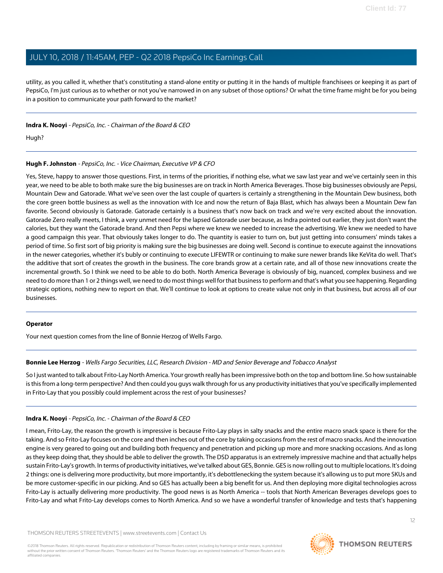utility, as you called it, whether that's constituting a stand-alone entity or putting it in the hands of multiple franchisees or keeping it as part of PepsiCo, I'm just curious as to whether or not you've narrowed in on any subset of those options? Or what the time frame might be for you being in a position to communicate your path forward to the market?

### **Indra K. Nooyi** - PepsiCo, Inc. - Chairman of the Board & CEO

Hugh?

### **Hugh F. Johnston** - PepsiCo, Inc. - Vice Chairman, Executive VP & CFO

Yes, Steve, happy to answer those questions. First, in terms of the priorities, if nothing else, what we saw last year and we've certainly seen in this year, we need to be able to both make sure the big businesses are on track in North America Beverages. Those big businesses obviously are Pepsi, Mountain Dew and Gatorade. What we've seen over the last couple of quarters is certainly a strengthening in the Mountain Dew business, both the core green bottle business as well as the innovation with Ice and now the return of Baja Blast, which has always been a Mountain Dew fan favorite. Second obviously is Gatorade. Gatorade certainly is a business that's now back on track and we're very excited about the innovation. Gatorade Zero really meets, I think, a very unmet need for the lapsed Gatorade user because, as Indra pointed out earlier, they just don't want the calories, but they want the Gatorade brand. And then Pepsi where we knew we needed to increase the advertising. We knew we needed to have a good campaign this year. That obviously takes longer to do. The quantity is easier to turn on, but just getting into consumers' minds takes a period of time. So first sort of big priority is making sure the big businesses are doing well. Second is continue to execute against the innovations in the newer categories, whether it's bubly or continuing to execute LIFEWTR or continuing to make sure newer brands like KeVita do well. That's the additive that sort of creates the growth in the business. The core brands grow at a certain rate, and all of those new innovations create the incremental growth. So I think we need to be able to do both. North America Beverage is obviously of big, nuanced, complex business and we need to do more than 1 or 2 things well, we need to do most things well for that business to perform and that's what you see happening. Regarding strategic options, nothing new to report on that. We'll continue to look at options to create value not only in that business, but across all of our businesses.

#### <span id="page-11-0"></span>**Operator**

Your next question comes from the line of Bonnie Herzog of Wells Fargo.

### **Bonnie Lee Herzog** - Wells Fargo Securities, LLC, Research Division - MD and Senior Beverage and Tobacco Analyst

So I just wanted to talk about Frito-Lay North America. Your growth really has been impressive both on the top and bottom line. So how sustainable is this from a long-term perspective? And then could you guys walk through for us any productivity initiatives that you've specifically implemented in Frito-Lay that you possibly could implement across the rest of your businesses?

#### **Indra K. Nooyi** - PepsiCo, Inc. - Chairman of the Board & CEO

I mean, Frito-Lay, the reason the growth is impressive is because Frito-Lay plays in salty snacks and the entire macro snack space is there for the taking. And so Frito-Lay focuses on the core and then inches out of the core by taking occasions from the rest of macro snacks. And the innovation engine is very geared to going out and building both frequency and penetration and picking up more and more snacking occasions. And as long as they keep doing that, they should be able to deliver the growth. The DSD apparatus is an extremely impressive machine and that actually helps sustain Frito-Lay's growth. In terms of productivity initiatives, we've talked about GES, Bonnie. GES is now rolling out to multiple locations. It's doing 2 things: one is delivering more productivity, but more importantly, it's debottlenecking the system because it's allowing us to put more SKUs and be more customer-specific in our picking. And so GES has actually been a big benefit for us. And then deploying more digital technologies across Frito-Lay is actually delivering more productivity. The good news is as North America -- tools that North American Beverages develops goes to Frito-Lay and what Frito-Lay develops comes to North America. And so we have a wonderful transfer of knowledge and tests that's happening

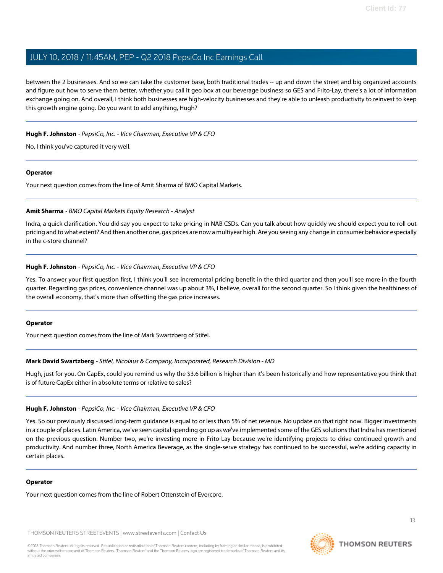between the 2 businesses. And so we can take the customer base, both traditional trades -- up and down the street and big organized accounts and figure out how to serve them better, whether you call it geo box at our beverage business so GES and Frito-Lay, there's a lot of information exchange going on. And overall, I think both businesses are high-velocity businesses and they're able to unleash productivity to reinvest to keep this growth engine going. Do you want to add anything, Hugh?

### **Hugh F. Johnston** - PepsiCo, Inc. - Vice Chairman, Executive VP & CFO

No, I think you've captured it very well.

#### **Operator**

<span id="page-12-0"></span>Your next question comes from the line of Amit Sharma of BMO Capital Markets.

### **Amit Sharma** - BMO Capital Markets Equity Research - Analyst

Indra, a quick clarification. You did say you expect to take pricing in NAB CSDs. Can you talk about how quickly we should expect you to roll out pricing and to what extent? And then another one, gas prices are now a multiyear high. Are you seeing any change in consumer behavior especially in the c-store channel?

### **Hugh F. Johnston** - PepsiCo, Inc. - Vice Chairman, Executive VP & CFO

Yes. To answer your first question first, I think you'll see incremental pricing benefit in the third quarter and then you'll see more in the fourth quarter. Regarding gas prices, convenience channel was up about 3%, I believe, overall for the second quarter. So I think given the healthiness of the overall economy, that's more than offsetting the gas price increases.

#### <span id="page-12-1"></span>**Operator**

Your next question comes from the line of Mark Swartzberg of Stifel.

#### **Mark David Swartzberg** - Stifel, Nicolaus & Company, Incorporated, Research Division - MD

Hugh, just for you. On CapEx, could you remind us why the \$3.6 billion is higher than it's been historically and how representative you think that is of future CapEx either in absolute terms or relative to sales?

#### **Hugh F. Johnston** - PepsiCo, Inc. - Vice Chairman, Executive VP & CFO

Yes. So our previously discussed long-term guidance is equal to or less than 5% of net revenue. No update on that right now. Bigger investments in a couple of places. Latin America, we've seen capital spending go up as we've implemented some of the GES solutions that Indra has mentioned on the previous question. Number two, we're investing more in Frito-Lay because we're identifying projects to drive continued growth and productivity. And number three, North America Beverage, as the single-serve strategy has continued to be successful, we're adding capacity in certain places.

#### **Operator**

Your next question comes from the line of Robert Ottenstein of Evercore.

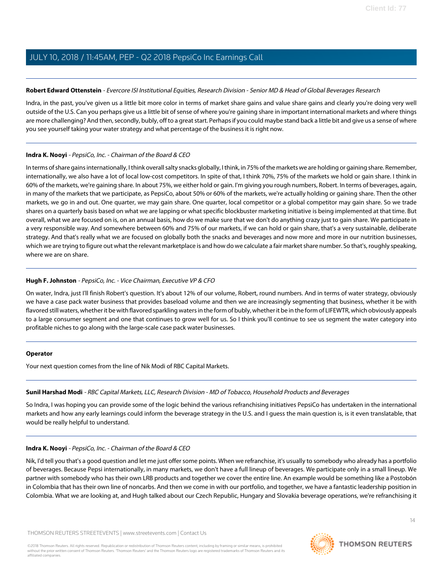### <span id="page-13-0"></span>**Robert Edward Ottenstein** - Evercore ISI Institutional Equities, Research Division - Senior MD & Head of Global Beverages Research

Indra, in the past, you've given us a little bit more color in terms of market share gains and value share gains and clearly you're doing very well outside of the U.S. Can you perhaps give us a little bit of sense of where you're gaining share in important international markets and where things are more challenging? And then, secondly, bubly, off to a great start. Perhaps if you could maybe stand back a little bit and give us a sense of where you see yourself taking your water strategy and what percentage of the business it is right now.

### **Indra K. Nooyi** - PepsiCo, Inc. - Chairman of the Board & CEO

In terms of share gains internationally, I think overall salty snacks globally, I think, in 75% of the markets we are holding or gaining share. Remember, internationally, we also have a lot of local low-cost competitors. In spite of that, I think 70%, 75% of the markets we hold or gain share. I think in 60% of the markets, we're gaining share. In about 75%, we either hold or gain. I'm giving you rough numbers, Robert. In terms of beverages, again, in many of the markets that we participate, as PepsiCo, about 50% or 60% of the markets, we're actually holding or gaining share. Then the other markets, we go in and out. One quarter, we may gain share. One quarter, local competitor or a global competitor may gain share. So we trade shares on a quarterly basis based on what we are lapping or what specific blockbuster marketing initiative is being implemented at that time. But overall, what we are focused on is, on an annual basis, how do we make sure that we don't do anything crazy just to gain share. We participate in a very responsible way. And somewhere between 60% and 75% of our markets, if we can hold or gain share, that's a very sustainable, deliberate strategy. And that's really what we are focused on globally both the snacks and beverages and now more and more in our nutrition businesses, which we are trying to figure out what the relevant marketplace is and how do we calculate a fair market share number. So that's, roughly speaking, where we are on share.

### **Hugh F. Johnston** - PepsiCo, Inc. - Vice Chairman, Executive VP & CFO

On water, Indra, just I'll finish Robert's question. It's about 12% of our volume, Robert, round numbers. And in terms of water strategy, obviously we have a case pack water business that provides baseload volume and then we are increasingly segmenting that business, whether it be with flavored still waters, whether it be with flavored sparkling waters in the form of bubly, whether it be in the form of LIFEWTR, which obviously appeals to a large consumer segment and one that continues to grow well for us. So I think you'll continue to see us segment the water category into profitable niches to go along with the large-scale case pack water businesses.

### <span id="page-13-1"></span>**Operator**

Your next question comes from the line of Nik Modi of RBC Capital Markets.

### **Sunil Harshad Modi** - RBC Capital Markets, LLC, Research Division - MD of Tobacco, Household Products and Beverages

So Indra, I was hoping you can provide some of the logic behind the various refranchising initiatives PepsiCo has undertaken in the international markets and how any early learnings could inform the beverage strategy in the U.S. and I guess the main question is, is it even translatable, that would be really helpful to understand.

### **Indra K. Nooyi** - PepsiCo, Inc. - Chairman of the Board & CEO

Nik, I'd tell you that's a good question and let me just offer some points. When we refranchise, it's usually to somebody who already has a portfolio of beverages. Because Pepsi internationally, in many markets, we don't have a full lineup of beverages. We participate only in a small lineup. We partner with somebody who has their own LRB products and together we cover the entire line. An example would be something like a Postobón in Colombia that has their own line of noncarbs. And then we come in with our portfolio, and together, we have a fantastic leadership position in Colombia. What we are looking at, and Hugh talked about our Czech Republic, Hungary and Slovakia beverage operations, we're refranchising it

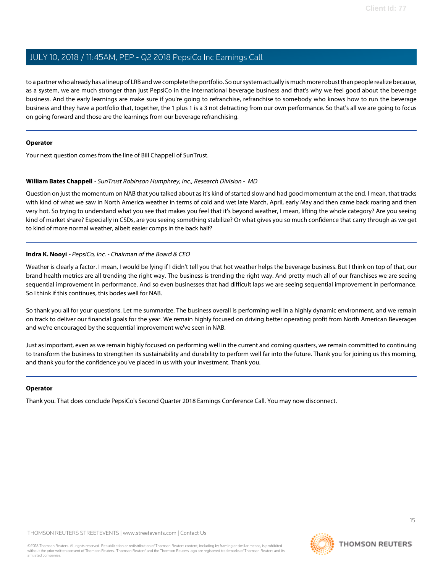to a partner who already has a lineup of LRB and we complete the portfolio. So our system actually is much more robust than people realize because, as a system, we are much stronger than just PepsiCo in the international beverage business and that's why we feel good about the beverage business. And the early learnings are make sure if you're going to refranchise, refranchise to somebody who knows how to run the beverage business and they have a portfolio that, together, the 1 plus 1 is a 3 not detracting from our own performance. So that's all we are going to focus on going forward and those are the learnings from our beverage refranchising.

#### **Operator**

<span id="page-14-0"></span>Your next question comes from the line of Bill Chappell of SunTrust.

#### **William Bates Chappell** - SunTrust Robinson Humphrey, Inc., Research Division - MD

Question on just the momentum on NAB that you talked about as it's kind of started slow and had good momentum at the end. I mean, that tracks with kind of what we saw in North America weather in terms of cold and wet late March, April, early May and then came back roaring and then very hot. So trying to understand what you see that makes you feel that it's beyond weather, I mean, lifting the whole category? Are you seeing kind of market share? Especially in CSDs, are you seeing something stabilize? Or what gives you so much confidence that carry through as we get to kind of more normal weather, albeit easier comps in the back half?

### **Indra K. Nooyi** - PepsiCo, Inc. - Chairman of the Board & CEO

Weather is clearly a factor. I mean, I would be lying if I didn't tell you that hot weather helps the beverage business. But I think on top of that, our brand health metrics are all trending the right way. The business is trending the right way. And pretty much all of our franchises we are seeing sequential improvement in performance. And so even businesses that had difficult laps we are seeing sequential improvement in performance. So I think if this continues, this bodes well for NAB.

So thank you all for your questions. Let me summarize. The business overall is performing well in a highly dynamic environment, and we remain on track to deliver our financial goals for the year. We remain highly focused on driving better operating profit from North American Beverages and we're encouraged by the sequential improvement we've seen in NAB.

Just as important, even as we remain highly focused on performing well in the current and coming quarters, we remain committed to continuing to transform the business to strengthen its sustainability and durability to perform well far into the future. Thank you for joining us this morning, and thank you for the confidence you've placed in us with your investment. Thank you.

#### **Operator**

Thank you. That does conclude PepsiCo's Second Quarter 2018 Earnings Conference Call. You may now disconnect.